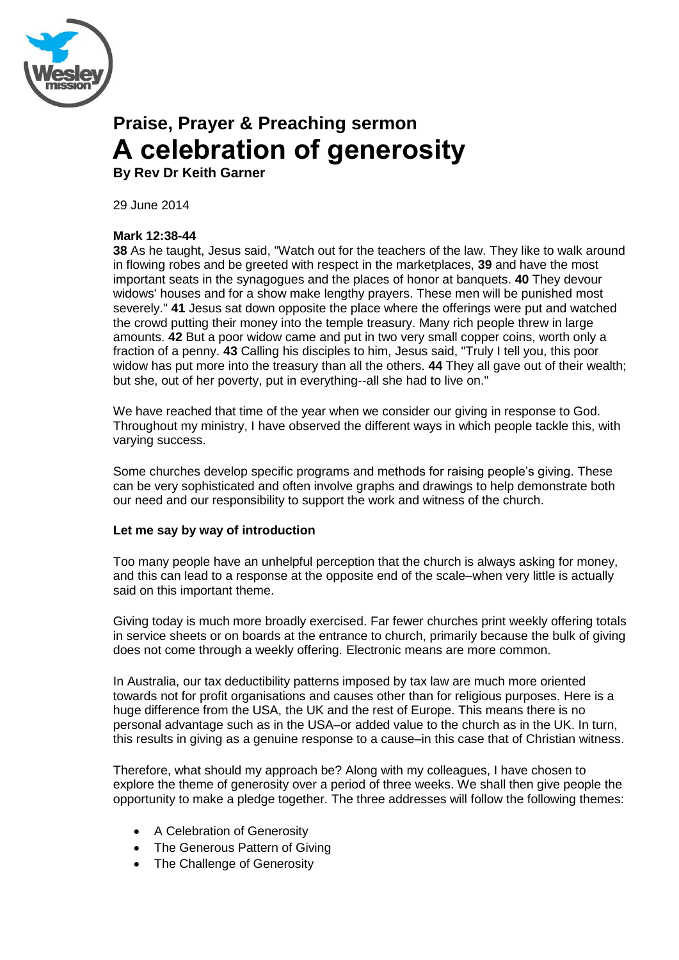

# **Praise, Prayer & Preaching sermon A celebration of generosity**

**By Rev Dr Keith Garner**

29 June 2014

## **Mark 12:38-44**

**38** As he taught, Jesus said, "Watch out for the teachers of the law. They like to walk around in flowing robes and be greeted with respect in the marketplaces, **39** and have the most important seats in the synagogues and the places of honor at banquets. **40** They devour widows' houses and for a show make lengthy prayers. These men will be punished most severely." **41** Jesus sat down opposite the place where the offerings were put and watched the crowd putting their money into the temple treasury. Many rich people threw in large amounts. **42** But a poor widow came and put in two very small copper coins, worth only a fraction of a penny. **43** Calling his disciples to him, Jesus said, "Truly I tell you, this poor widow has put more into the treasury than all the others. **44** They all gave out of their wealth; but she, out of her poverty, put in everything--all she had to live on."

We have reached that time of the year when we consider our giving in response to God. Throughout my ministry, I have observed the different ways in which people tackle this, with varying success.

Some churches develop specific programs and methods for raising people"s giving. These can be very sophisticated and often involve graphs and drawings to help demonstrate both our need and our responsibility to support the work and witness of the church.

### **Let me say by way of introduction**

Too many people have an unhelpful perception that the church is always asking for money, and this can lead to a response at the opposite end of the scale–when very little is actually said on this important theme.

Giving today is much more broadly exercised. Far fewer churches print weekly offering totals in service sheets or on boards at the entrance to church, primarily because the bulk of giving does not come through a weekly offering. Electronic means are more common.

In Australia, our tax deductibility patterns imposed by tax law are much more oriented towards not for profit organisations and causes other than for religious purposes. Here is a huge difference from the USA, the UK and the rest of Europe. This means there is no personal advantage such as in the USA–or added value to the church as in the UK. In turn, this results in giving as a genuine response to a cause–in this case that of Christian witness.

Therefore, what should my approach be? Along with my colleagues, I have chosen to explore the theme of generosity over a period of three weeks. We shall then give people the opportunity to make a pledge together. The three addresses will follow the following themes:

- A Celebration of Generosity
- The Generous Pattern of Giving
- The Challenge of Generosity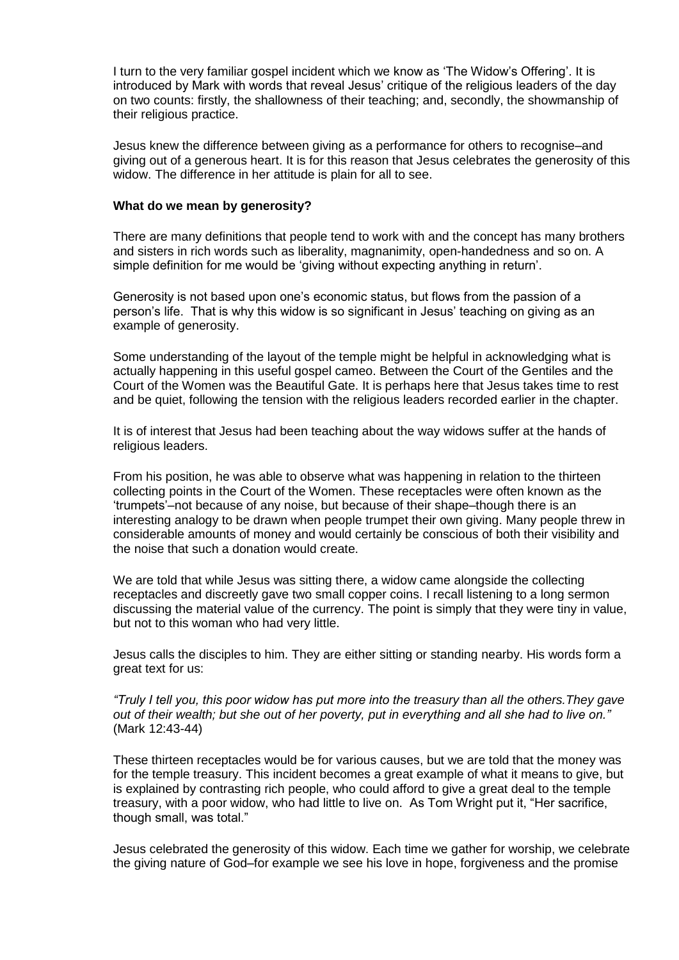I turn to the very familiar gospel incident which we know as 'The Widow's Offering'. It is introduced by Mark with words that reveal Jesus" critique of the religious leaders of the day on two counts: firstly, the shallowness of their teaching; and, secondly, the showmanship of their religious practice.

Jesus knew the difference between giving as a performance for others to recognise–and giving out of a generous heart. It is for this reason that Jesus celebrates the generosity of this widow. The difference in her attitude is plain for all to see.

#### **What do we mean by generosity?**

There are many definitions that people tend to work with and the concept has many brothers and sisters in rich words such as liberality, magnanimity, open-handedness and so on. A simple definition for me would be "giving without expecting anything in return".

Generosity is not based upon one"s economic status, but flows from the passion of a person"s life. That is why this widow is so significant in Jesus" teaching on giving as an example of generosity.

Some understanding of the layout of the temple might be helpful in acknowledging what is actually happening in this useful gospel cameo. Between the Court of the Gentiles and the Court of the Women was the Beautiful Gate. It is perhaps here that Jesus takes time to rest and be quiet, following the tension with the religious leaders recorded earlier in the chapter.

It is of interest that Jesus had been teaching about the way widows suffer at the hands of religious leaders.

From his position, he was able to observe what was happening in relation to the thirteen collecting points in the Court of the Women. These receptacles were often known as the "trumpets"–not because of any noise, but because of their shape–though there is an interesting analogy to be drawn when people trumpet their own giving. Many people threw in considerable amounts of money and would certainly be conscious of both their visibility and the noise that such a donation would create.

We are told that while Jesus was sitting there, a widow came alongside the collecting receptacles and discreetly gave two small copper coins. I recall listening to a long sermon discussing the material value of the currency. The point is simply that they were tiny in value, but not to this woman who had very little.

Jesus calls the disciples to him. They are either sitting or standing nearby. His words form a great text for us:

*"Truly I tell you, this poor widow has put more into the treasury than all the others.They gave out of their wealth; but she out of her poverty, put in everything and all she had to live on."*  (Mark 12:43-44)

These thirteen receptacles would be for various causes, but we are told that the money was for the temple treasury. This incident becomes a great example of what it means to give, but is explained by contrasting rich people, who could afford to give a great deal to the temple treasury, with a poor widow, who had little to live on. As Tom Wright put it, "Her sacrifice, though small, was total."

Jesus celebrated the generosity of this widow. Each time we gather for worship, we celebrate the giving nature of God–for example we see his love in hope, forgiveness and the promise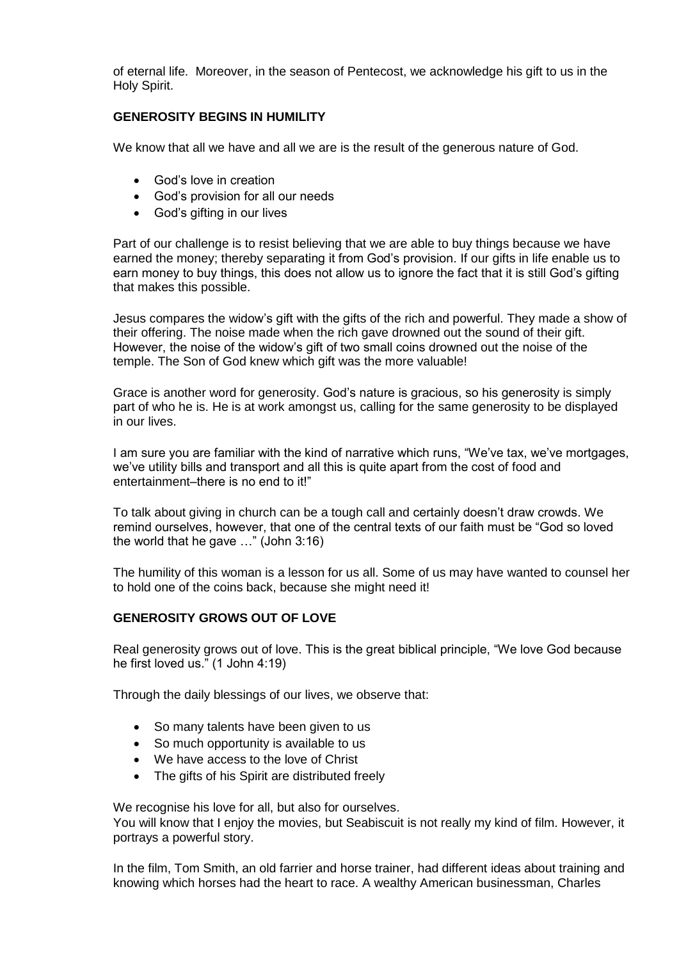of eternal life. Moreover, in the season of Pentecost, we acknowledge his gift to us in the Holy Spirit.

## **GENEROSITY BEGINS IN HUMILITY**

We know that all we have and all we are is the result of the generous nature of God.

- God's love in creation
- God"s provision for all our needs
- God"s gifting in our lives

Part of our challenge is to resist believing that we are able to buy things because we have earned the money; thereby separating it from God"s provision. If our gifts in life enable us to earn money to buy things, this does not allow us to ignore the fact that it is still God"s gifting that makes this possible.

Jesus compares the widow"s gift with the gifts of the rich and powerful. They made a show of their offering. The noise made when the rich gave drowned out the sound of their gift. However, the noise of the widow"s gift of two small coins drowned out the noise of the temple. The Son of God knew which gift was the more valuable!

Grace is another word for generosity. God"s nature is gracious, so his generosity is simply part of who he is. He is at work amongst us, calling for the same generosity to be displayed in our lives.

I am sure you are familiar with the kind of narrative which runs, "We've tax, we've mortgages, we"ve utility bills and transport and all this is quite apart from the cost of food and entertainment–there is no end to it!"

To talk about giving in church can be a tough call and certainly doesn"t draw crowds. We remind ourselves, however, that one of the central texts of our faith must be "God so loved the world that he gave …" (John 3:16)

The humility of this woman is a lesson for us all. Some of us may have wanted to counsel her to hold one of the coins back, because she might need it!

## **GENEROSITY GROWS OUT OF LOVE**

Real generosity grows out of love. This is the great biblical principle, "We love God because he first loved us." (1 John 4:19)

Through the daily blessings of our lives, we observe that:

- So many talents have been given to us
- So much opportunity is available to us
- We have access to the love of Christ
- The gifts of his Spirit are distributed freely

We recognise his love for all, but also for ourselves.

You will know that I enjoy the movies, but Seabiscuit is not really my kind of film. However, it portrays a powerful story.

In the film, Tom Smith, an old farrier and horse trainer, had different ideas about training and knowing which horses had the heart to race. A wealthy American businessman, Charles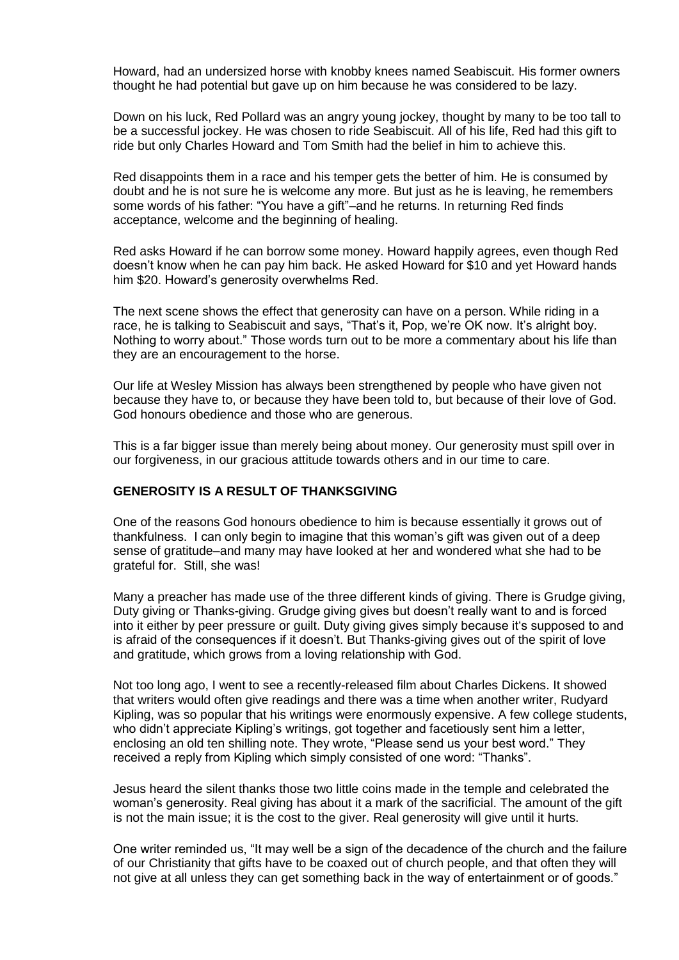Howard, had an undersized horse with knobby knees named Seabiscuit. His former owners thought he had potential but gave up on him because he was considered to be lazy.

Down on his luck, Red Pollard was an angry young jockey, thought by many to be too tall to be a successful jockey. He was chosen to ride Seabiscuit. All of his life, Red had this gift to ride but only Charles Howard and Tom Smith had the belief in him to achieve this.

Red disappoints them in a race and his temper gets the better of him. He is consumed by doubt and he is not sure he is welcome any more. But just as he is leaving, he remembers some words of his father: "You have a gift"–and he returns. In returning Red finds acceptance, welcome and the beginning of healing.

Red asks Howard if he can borrow some money. Howard happily agrees, even though Red doesn"t know when he can pay him back. He asked Howard for \$10 and yet Howard hands him \$20. Howard's generosity overwhelms Red.

The next scene shows the effect that generosity can have on a person. While riding in a race, he is talking to Seabiscuit and says, "That's it, Pop, we're OK now. It's alright boy. Nothing to worry about." Those words turn out to be more a commentary about his life than they are an encouragement to the horse.

Our life at Wesley Mission has always been strengthened by people who have given not because they have to, or because they have been told to, but because of their love of God. God honours obedience and those who are generous.

This is a far bigger issue than merely being about money. Our generosity must spill over in our forgiveness, in our gracious attitude towards others and in our time to care.

#### **GENEROSITY IS A RESULT OF THANKSGIVING**

One of the reasons God honours obedience to him is because essentially it grows out of thankfulness. I can only begin to imagine that this woman"s gift was given out of a deep sense of gratitude–and many may have looked at her and wondered what she had to be grateful for. Still, she was!

Many a preacher has made use of the three different kinds of giving. There is Grudge giving, Duty giving or Thanks-giving. Grudge giving gives but doesn't really want to and is forced into it either by peer pressure or guilt. Duty giving gives simply because it's supposed to and is afraid of the consequences if it doesn"t. But Thanks-giving gives out of the spirit of love and gratitude, which grows from a loving relationship with God.

Not too long ago, I went to see a recently-released film about Charles Dickens. It showed that writers would often give readings and there was a time when another writer, Rudyard Kipling, was so popular that his writings were enormously expensive. A few college students, who didn't appreciate Kipling's writings, got together and facetiously sent him a letter, enclosing an old ten shilling note. They wrote, "Please send us your best word." They received a reply from Kipling which simply consisted of one word: "Thanks".

Jesus heard the silent thanks those two little coins made in the temple and celebrated the woman"s generosity. Real giving has about it a mark of the sacrificial. The amount of the gift is not the main issue; it is the cost to the giver. Real generosity will give until it hurts.

One writer reminded us, "It may well be a sign of the decadence of the church and the failure of our Christianity that gifts have to be coaxed out of church people, and that often they will not give at all unless they can get something back in the way of entertainment or of goods."